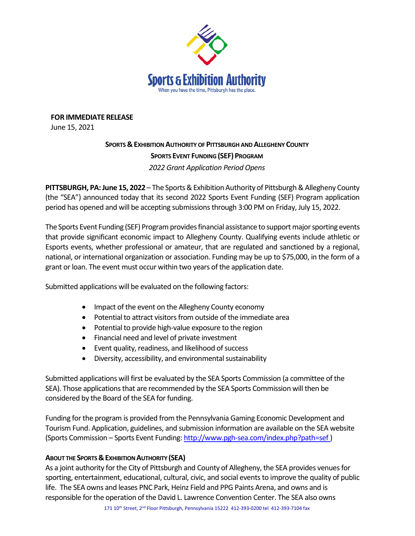

**FOR IMMEDIATE RELEASE**

June 15, 2021

## **SPORTS & EXHIBITION AUTHORITY OF PITTSBURGH AND ALLEGHENY COUNTY SPORTS EVENT FUNDING (SEF) PROGRAM** *2022 Grant Application Period Opens*

**PITTSBURGH, PA:June 15, 2022** – The Sports&Exhibition Authority of Pittsburgh & Allegheny County (the "SEA") announced today that its second 2022 Sports Event Funding (SEF) Program application period has opened and will be accepting submissions through 3:00 PM on Friday, July 15, 2022.

The Sports Event Funding (SEF) Program provides financial assistance to support major sporting events that provide significant economic impact to Allegheny County. Qualifying events include athletic or Esports events, whether professional or amateur, that are regulated and sanctioned by a regional, national, or international organization or association. Funding may be up to \$75,000, in the form of a grant or loan. The event must occur within two years of the application date.

Submitted applications will be evaluated on the following factors:

- Impact of the event on the Allegheny County economy
- Potential to attract visitors from outside of the immediate area
- Potential to provide high-value exposure to the region
- Financial need and level of private investment
- Event quality, readiness, and likelihood of success
- Diversity, accessibility, and environmental sustainability

Submitted applications will first be evaluated by the SEA Sports Commission (a committee of the SEA). Those applications that are recommended by the SEA Sports Commission will then be considered by the Board of the SEA for funding.

Funding for the program is provided from the Pennsylvania Gaming Economic Development and Tourism Fund. Application, guidelines, and submission information are available on the SEA website (Sports Commission – Sports Event Funding[: http://www.pgh-sea.com/index.php?path=sef](http://www.pgh-sea.com/index.php?path=sef) )

## **ABOUT THE SPORTS & EXHIBITION AUTHORITY (SEA)**

As a joint authority for the City of Pittsburgh and County of Allegheny, the SEA provides venues for sporting, entertainment, educational, cultural, civic, and social events to improve the quality of public life. The SEA owns and leases PNC Park, Heinz Field and PPG Paints Arena, and owns and is responsible for the operation of the David L. Lawrence Convention Center. The SEA also owns